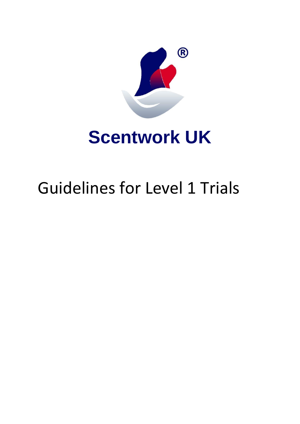

## **Scentwork UK**

# Guidelines for Level 1 Trials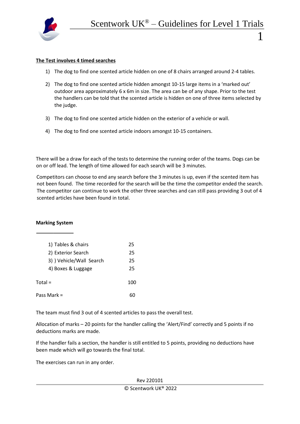

## **The Test involves 4 timed searches**

- 1) The dog to find one scented article hidden on one of 8 chairs arranged around 2-4 tables.
- 2) The dog to find one scented article hidden amongst 10-15 large items in a 'marked out' outdoor area approximately 6 x 6m in size. The area can be of any shape. Prior to the test the handlers can be told that the scented article is hidden on one of three items selected by the judge.
- 3) The dog to find one scented article hidden on the exterior of a vehicle or wall.
- 4) The dog to find one scented article indoors amongst 10-15 containers.

There will be a draw for each of the tests to determine the running order of the teams. Dogs can be on or off lead. The length of time allowed for each search will be 3 minutes.

Competitors can choose to end any search before the 3 minutes is up, even if the scented item has not been found. The time recorded for the search will be the time the competitor ended the search. The competitor can continue to work the other three searches and can still pass providing 3 out of 4 scented articles have been found in total.

## **Marking System**

| 1) Tables & chairs       | 25  |
|--------------------------|-----|
| 2) Exterior Search       | 25  |
| 3) ) Vehicle/Wall Search | 25  |
| 4) Boxes & Luggage       | 25  |
| Total =                  | 100 |
| Pass Mark =              |     |

The team must find 3 out of 4 scented articles to pass the overall test.

Allocation of marks – 20 points for the handler calling the 'Alert/Find' correctly and 5 points if no deductions marks are made.

If the handler fails a section, the handler is still entitled to 5 points, providing no deductions have been made which will go towards the final total.

The exercises can run in any order.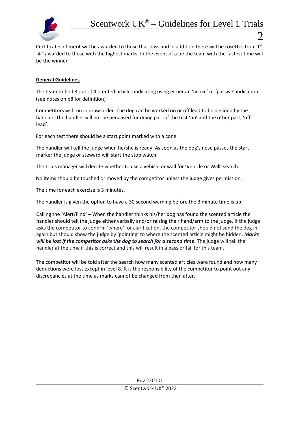

Certificates of merit will be awarded to those that pass and in addition there will be rosettes from 1st -4<sup>th</sup> awarded to those with the highest marks. In the event of a tie the team with the fastest time will be the winner

## **General Guidelines**

The team to find 3 out of 4 scented articles indicating using either an 'active' or 'passive' indication. (see notes on p8 for definition)

Competitors will run in draw order. The dog can be worked on or off lead to be decided by the handler. The handler will not be penalised for doing part of the test 'on' and the other part, 'off' lead'.

For each test there should be a start point marked with a cone

The handler will tell the judge when he/she is ready. As soon as the dog's nose passes the start marker the judge or steward will start the stop watch.

The trials manager will decide whether to use a vehicle or wall for 'Vehicle or Wall' search.

No items should be touched or moved by the competitor unless the judge gives permission.

The time for each exercise is 3 minutes.

The handler is given the option to have a 30 second warning before the 3 minute time is up.

Calling the 'Alert/Find' – When the handler thinks his/her dog has found the scented article the handler should tell the judge either verbally and/or raising their hand/arm to the judge. If the judge asks the competitor to confirm 'where' for clarification, the competitor should not send the dog in again but should show the judge by 'pointing' to where the scented article might be hidden. *Marks will be lost if the competitor asks the dog to search for a second time.* The judge will tell the handler at the time if this is correct and this will result in a pass or fail for this team.

The competitor will be told after the search how many scented articles were found and how many deductions were lost except in level 8. It is the responsibility of the competitor to point out any discrepancies at the time as marks cannot be changed from then after.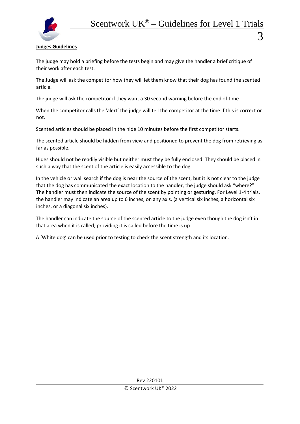

## **Judges Guidelines**

The judge may hold a briefing before the tests begin and may give the handler a brief critique of their work after each test.

The Judge will ask the competitor how they will let them know that their dog has found the scented article.

The judge will ask the competitor if they want a 30 second warning before the end of time

When the competitor calls the 'alert' the judge will tell the competitor at the time if this is correct or not.

Scented articles should be placed in the hide 10 minutes before the first competitor starts.

The scented article should be hidden from view and positioned to prevent the dog from retrieving as far as possible.

Hides should not be readily visible but neither must they be fully enclosed. They should be placed in such a way that the scent of the article is easily accessible to the dog.

In the vehicle or wall search if the dog is near the source of the scent, but it is not clear to the judge that the dog has communicated the exact location to the handler, the judge should ask "where?" The handler must then indicate the source of the scent by pointing or gesturing. For Level 1-4 trials, the handler may indicate an area up to 6 inches, on any axis. (a vertical six inches, a horizontal six inches, or a diagonal six inches).

The handler can indicate the source of the scented article to the judge even though the dog isn't in that area when it is called; providing it is called before the time is up

A 'White dog' can be used prior to testing to check the scent strength and its location.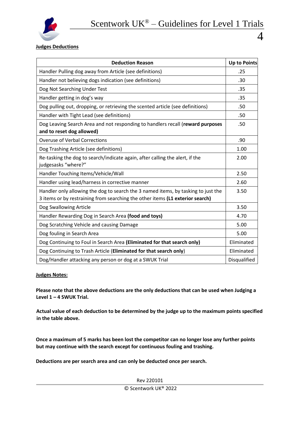

**Judges Deductions** 

| <b>Deduction Reason</b>                                                                                                                                            | <b>Up to Points</b> |
|--------------------------------------------------------------------------------------------------------------------------------------------------------------------|---------------------|
| Handler Pulling dog away from Article (see definitions)                                                                                                            | .25                 |
| Handler not believing dogs indication (see definitions)                                                                                                            | .30                 |
| Dog Not Searching Under Test                                                                                                                                       | .35                 |
| Handler getting in dog's way                                                                                                                                       | .35                 |
| Dog pulling out, dropping, or retrieving the scented article (see definitions)                                                                                     | .50                 |
| Handler with Tight Lead (see definitions)                                                                                                                          | .50                 |
| Dog Leaving Search Area and not responding to handlers recall (reward purposes<br>and to reset dog allowed)                                                        | .50                 |
| <b>Overuse of Verbal Corrections</b>                                                                                                                               | .90                 |
| Dog Trashing Article (see definitions)                                                                                                                             | 1.00                |
| Re-tasking the dog to search/indicate again, after calling the alert, if the<br>judgesasks "where?"                                                                | 2.00                |
| Handler Touching Items/Vehicle/Wall                                                                                                                                | 2.50                |
| Handler using lead/harness in corrective manner                                                                                                                    | 2.60                |
| Handler only allowing the dog to search the 3 named items, by tasking to just the<br>3 items or by restraining from searching the other items (L1 exterior search) | 3.50                |
| Dog Swallowing Article                                                                                                                                             | 3.50                |
| Handler Rewarding Dog in Search Area (food and toys)                                                                                                               | 4.70                |
| Dog Scratching Vehicle and causing Damage                                                                                                                          | 5.00                |
| Dog fouling in Search Area                                                                                                                                         | 5.00                |
| Dog Continuing to Foul in Search Area (Eliminated for that search only)                                                                                            | Eliminated          |
| Dog Continuing to Trash Article (Eliminated for that search only)                                                                                                  | Eliminated          |
| Dog/Handler attacking any person or dog at a SWUK Trial                                                                                                            | Disqualified        |

#### **Judges Notes:**

**Please note that the above deductions are the only deductions that can be used when Judging a Level 1 – 4 SWUK Trial.** 

**Actual value of each deduction to be determined by the judge up to the maximum points specified in the table above.**

**Once a maximum of 5 marks has been lost the competitor can no longer lose any further points but may continue with the search except for continuous fouling and trashing.**

**Deductions are per search area and can only be deducted once per search.**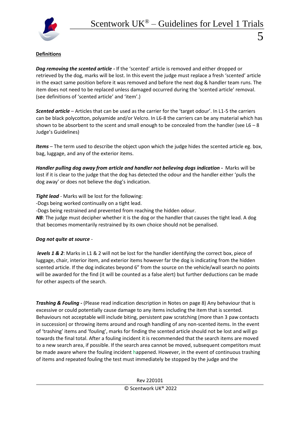

## **Definitions**

*Dog removing the scented article -* If the 'scented' article is removed and either dropped or retrieved by the dog, marks will be lost. In this event the judge must replace a fresh 'scented' article in the exact same position before it was removed and before the next dog & handler team runs. The item does not need to be replaced unless damaged occurred during the 'scented article' removal. (see definitions of 'scented article' and 'item'.)

*Scented article* – Articles that can be used as the carrier for the 'target odour'. In L1-5 the carriers can be black polycotton, polyamide and/or Velcro. In L6-8 the carriers can be any material which has shown to be absorbent to the scent and small enough to be concealed from the handler (see  $L6 - 8$ ) Judge's Guidelines)

*Items* – The term used to describe the object upon which the judge hides the scented article eg. box, bag, luggage, and any of the exterior items.

*Handler pulling dog away from article and handler not believing dogs indication -* Marks will be lost if it is clear to the judge that the dog has detected the odour and the handler either 'pulls the dog away' or does not believe the dog's indication.

*Tight lead* - Marks will be lost for the following:

-Dogs being worked continually on a tight lead.

-Dogs being restrained and prevented from reaching the hidden odour.

**NB**: The judge must decipher whether it is the dog or the handler that causes the tight lead. A dog that becomes momentarily restrained by its own choice should not be penalised.

## *Dog not quite at source* -

*levels 1 & 2*: Marks in L1 & 2 will not be lost for the handler identifying the correct box, piece of luggage, chair, interior item, and exterior items however far the dog is indicating from the hidden scented article. If the dog indicates beyond 6" from the source on the vehicle/wall search no points will be awarded for the find (it will be counted as a false alert) but further deductions can be made for other aspects of the search.

*Trashing & Fouling -* (Please read indication description in Notes on page 8) Any behaviour that is excessive or could potentially cause damage to any items including the item that is scented. Behaviours not acceptable will include biting, persistent paw scratching (more than 3 paw contacts in succession) or throwing items around and rough handling of any non-scented items. In the event of 'trashing' items and 'fouling', marks for finding the scented article should not be lost and will go towards the final total. After a fouling incident it is recommended that the search items are moved to a new search area, if possible. If the search area cannot be moved, subsequent competitors must be made aware where the fouling incident happened. However, in the event of continuous trashing of items and repeated fouling the test must immediately be stopped by the judge and the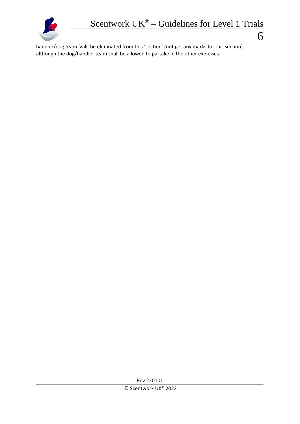

handler/dog team 'will' be eliminated from this 'section' (not get any marks for this section) although the dog/handler team shall be allowed to partake in the other exercises.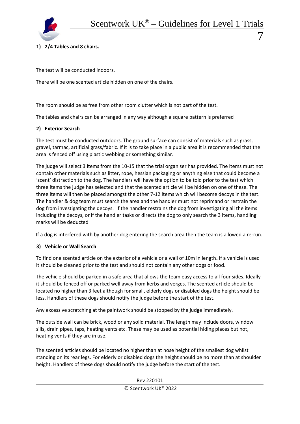

## **1) 2/4 Tables and 8 chairs.**

The test will be conducted indoors.

There will be one scented article hidden on one of the chairs.

The room should be as free from other room clutter which is not part of the test.

The tables and chairs can be arranged in any way although a square pattern is preferred

## **2) Exterior Search**

The test must be conducted outdoors. The ground surface can consist of materials such as grass, gravel, tarmac, artificial grass/fabric. If it is to take place in a public area it is recommended that the area is fenced off using plastic webbing or something similar.

The judge will select 3 items from the 10-15 that the trial organiser has provided. The items must not contain other materials such as litter, rope, hessian packaging or anything else that could become a 'scent' distraction to the dog. The handlers will have the option to be told prior to the test which three items the judge has selected and that the scented article will be hidden on one of these. The three items will then be placed amongst the other 7-12 items which will become decoys in the test. The handler & dog team must search the area and the handler must not reprimand or restrain the dog from investigating the decoys. If the handler restrains the dog from investigating all the items including the decoys, or if the handler tasks or directs the dog to only search the 3 items, handling marks will be deducted

If a dog is interfered with by another dog entering the search area then the team is allowed a re-run.

## **3) Vehicle or Wall Search**

To find one scented article on the exterior of a vehicle or a wall of 10m in length**.** If a vehicle is used it should be cleaned prior to the test and should not contain any other dogs or food.

The vehicle should be parked in a safe area that allows the team easy access to all four sides. Ideally it should be fenced off or parked well away from kerbs and verges. The scented article should be located no higher than 3 feet although for small, elderly dogs or disabled dogs the height should be less. Handlers of these dogs should notify the judge before the start of the test.

Any excessive scratching at the paintwork should be stopped by the judge immediately.

The outside wall can be brick, wood or any solid material. The length may include doors, window sills, drain pipes, taps, heating vents etc. These may be used as potential hiding places but not, heating vents if they are in use.

The scented articles should be located no higher than at nose height of the smallest dog whilst standing on its rear legs. For elderly or disabled dogs the height should be no more than at shoulder height. Handlers of these dogs should notify the judge before the start of the test.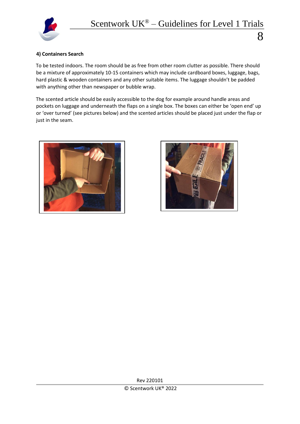

## **4) Containers Search**

To be tested indoors. The room should be as free from other room clutter as possible. There should be a mixture of approximately 10-15 containers which may include cardboard boxes, luggage, bags, hard plastic & wooden containers and any other suitable items. The luggage shouldn't be padded with anything other than newspaper or bubble wrap.

The scented article should be easily accessible to the dog for example around handle areas and pockets on luggage and underneath the flaps on a single box. The boxes can either be 'open end' up or 'over turned' (see pictures below) and the scented articles should be placed just under the flap or just in the seam.



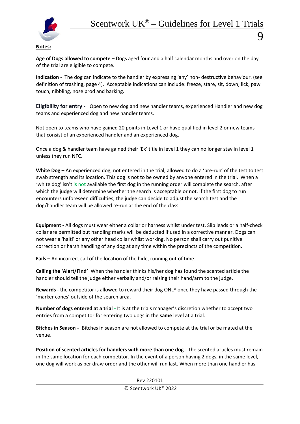

## **Notes:**

**Age of Dogs allowed to compete –** Dogs aged four and a half calendar months and over on the day of the trial are eligible to compete.

**Indication** - The dog can indicate to the handler by expressing 'any' non- destructive behaviour. (see definition of trashing, page 4). Acceptable indications can include: freeze, stare, sit, down, lick, paw touch, nibbling, nose prod and barking.

**Eligibility for entry** - Open to new dog and new handler teams, experienced Handler and new dog teams and experienced dog and new handler teams.

Not open to teams who have gained 20 points in Level 1 or have qualified in level 2 or new teams that consist of an experienced handler and an experienced dog.

Once a dog & handler team have gained their 'Ex' title in level 1 they can no longer stay in level 1 unless they run NFC.

**White Dog –** An experienced dog, not entered in the trial, allowed to do a 'pre-run' of the test to test swab strength and its location. This dog is not to be owned by anyone entered in the trial. When a 'white dog' isn't is not available the first dog in the running order will complete the search, after which the judge will determine whether the search is acceptable or not. If the first dog to run encounters unforeseen difficulties, the judge can decide to adjust the search test and the dog/handler team will be allowed re-run at the end of the class.

**Equipment -** All dogs must wear either a collar or harness whilst under test. Slip leads or a half-check collar are permitted but handling marks will be deducted if used in a corrective manner. Dogs can not wear a 'halti' or any other head collar whilst working. No person shall carry out punitive correction or harsh handling of any dog at any time within the precincts of the competition.

**Fails –** An incorrect call of the location of the hide, running out of time.

**Calling the 'Alert/Find'** When the handler thinks his/her dog has found the scented article the handler should tell the judge either verbally and/or raising their hand/arm to the judge.

**Rewards -** the competitor is allowed to reward their dog ONLY once they have passed through the 'marker cones' outside of the search area.

**Number of dogs entered at a trial -** It is at the trials manager's discretion whether to accept two entries from a competitor for entering two dogs in the **same** level at a trial.

**Bitches in Season** - Bitches in season are not allowed to compete at the trial or be mated at the venue.

**Position of scented articles for handlers with more than one dog -** The scented articles must remain in the same location for each competitor. In the event of a person having 2 dogs, in the same level, one dog will work as per draw order and the other will run last. When more than one handler has